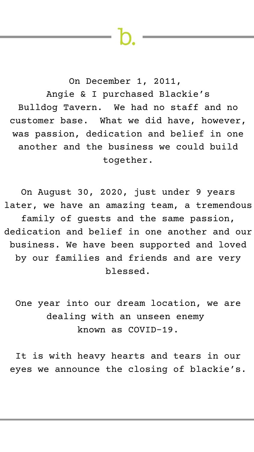On December 1, 2011, Angie & I purchased Blackie's Bulldog Tavern. We had no staff and no customer base. What we did have, however, was passion, dedication and belief in one another and the business we could build together.

On August 30, 2020, just under 9 years later, we have an amazing team, a tremendous family of guests and the same passion, dedication and belief in one another and our business. We have been supported and loved by our families and friends and are very blessed.

One year into our dream location, we are dealing with an unseen enemy known as COVID-19.

It is with heavy hearts and tears in our eyes we announce the closing of blackie's.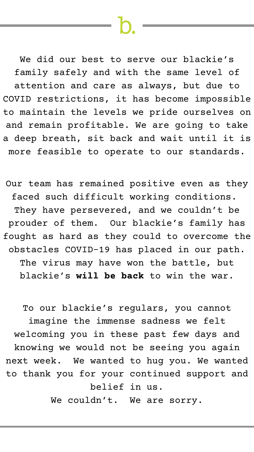We did our best to serve our blackie's family safely and with the same level of attention and care as always, but due to COVID restrictions, it has become impossible to maintain the levels we pride ourselves on and remain profitable. We are going to take a deep breath, sit back and wait until it is more feasible to operate to our standards.

To our blackie's regulars, you cannot imagine the immense sadness we felt welcoming you in these past few days and knowing we would not be seeing you again next week. We wanted to hug you. We wanted to thank you for your continued support and belief in us. We couldn't. We are sorry.

Our team has remained positive even as they faced such difficult working conditions. They have persevered, and we couldn't be prouder of them. Our blackie's family has fought as hard as they could to overcome the obstacles COVID-19 has placed in our path. The virus may have won the battle, but blackie's **will be back** to win the war.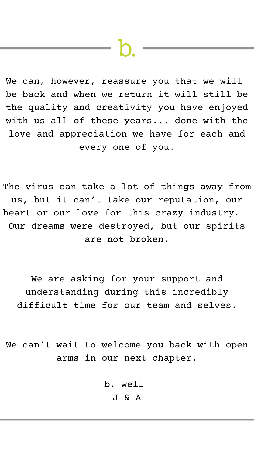We can, however, reassure you that we will be back and when we return it will still be the quality and creativity you have enjoyed with us all of these years... done with the love and appreciation we have for each and every one of you.

The virus can take a lot of things away from us, but it can't take our reputation, our heart or our love for this crazy industry. Our dreams were destroyed, but our spirits are not broken.

We are asking for your support and

understanding during this incredibly difficult time for our team and selves.

# We can't wait to welcome you back with open arms in our next chapter.

b. well J & A